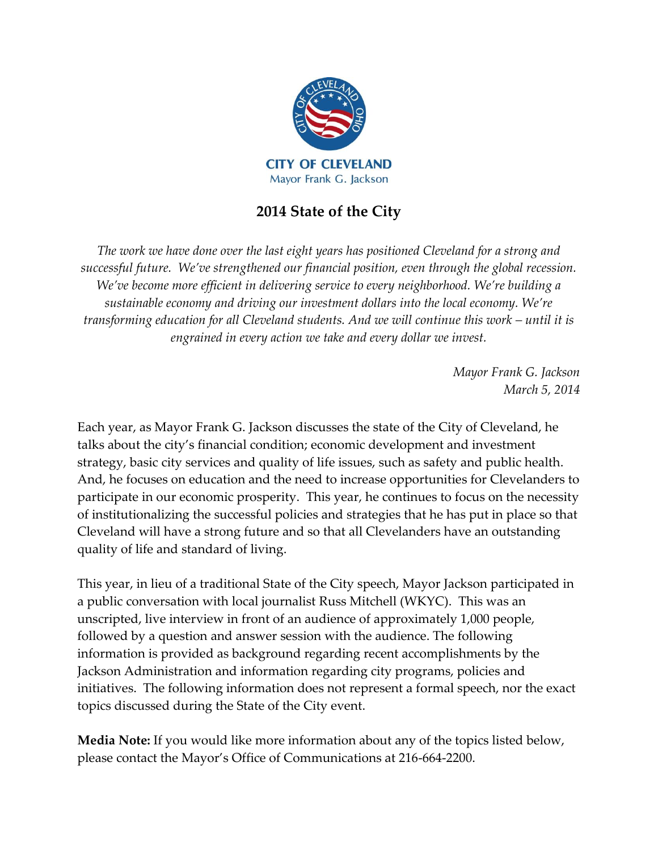

# **2014 State of the City**

*The work we have done over the last eight years has positioned Cleveland for a strong and successful future. We've strengthened our financial position, even through the global recession. We've become more efficient in delivering service to every neighborhood. We're building a sustainable economy and driving our investment dollars into the local economy. We're transforming education for all Cleveland students. And we will continue this work – until it is engrained in every action we take and every dollar we invest.* 

> *Mayor Frank G. Jackson March 5, 2014*

Each year, as Mayor Frank G. Jackson discusses the state of the City of Cleveland, he talks about the city's financial condition; economic development and investment strategy, basic city services and quality of life issues, such as safety and public health. And, he focuses on education and the need to increase opportunities for Clevelanders to participate in our economic prosperity. This year, he continues to focus on the necessity of institutionalizing the successful policies and strategies that he has put in place so that Cleveland will have a strong future and so that all Clevelanders have an outstanding quality of life and standard of living.

This year, in lieu of a traditional State of the City speech, Mayor Jackson participated in a public conversation with local journalist Russ Mitchell (WKYC). This was an unscripted, live interview in front of an audience of approximately 1,000 people, followed by a question and answer session with the audience. The following information is provided as background regarding recent accomplishments by the Jackson Administration and information regarding city programs, policies and initiatives. The following information does not represent a formal speech, nor the exact topics discussed during the State of the City event.

**Media Note:** If you would like more information about any of the topics listed below, please contact the Mayor's Office of Communications at 216-664-2200.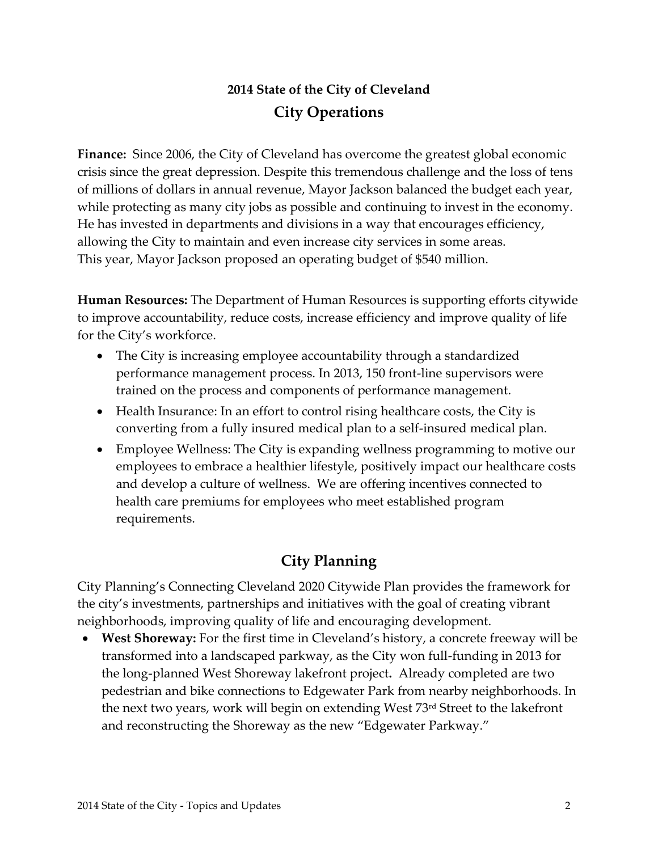## **2014 State of the City of Cleveland City Operations**

**Finance:** Since 2006, the City of Cleveland has overcome the greatest global economic crisis since the great depression. Despite this tremendous challenge and the loss of tens of millions of dollars in annual revenue, Mayor Jackson balanced the budget each year, while protecting as many city jobs as possible and continuing to invest in the economy. He has invested in departments and divisions in a way that encourages efficiency, allowing the City to maintain and even increase city services in some areas. This year, Mayor Jackson proposed an operating budget of \$540 million.

**Human Resources:** The Department of Human Resources is supporting efforts citywide to improve accountability, reduce costs, increase efficiency and improve quality of life for the City's workforce.

- The City is increasing employee accountability through a standardized performance management process. In 2013, 150 front-line supervisors were trained on the process and components of performance management.
- Health Insurance: In an effort to control rising healthcare costs, the City is converting from a fully insured medical plan to a self-insured medical plan.
- Employee Wellness: The City is expanding wellness programming to motive our employees to embrace a healthier lifestyle, positively impact our healthcare costs and develop a culture of wellness. We are offering incentives connected to health care premiums for employees who meet established program requirements.

#### **City Planning**

City Planning's Connecting Cleveland 2020 Citywide Plan provides the framework for the city's investments, partnerships and initiatives with the goal of creating vibrant neighborhoods, improving quality of life and encouraging development.

 **West Shoreway:** For the first time in Cleveland's history, a concrete freeway will be transformed into a landscaped parkway, as the City won full-funding in 2013 for the long-planned West Shoreway lakefront project**.** Already completed are two pedestrian and bike connections to Edgewater Park from nearby neighborhoods. In the next two years, work will begin on extending West 73<sup>rd</sup> Street to the lakefront and reconstructing the Shoreway as the new "Edgewater Parkway."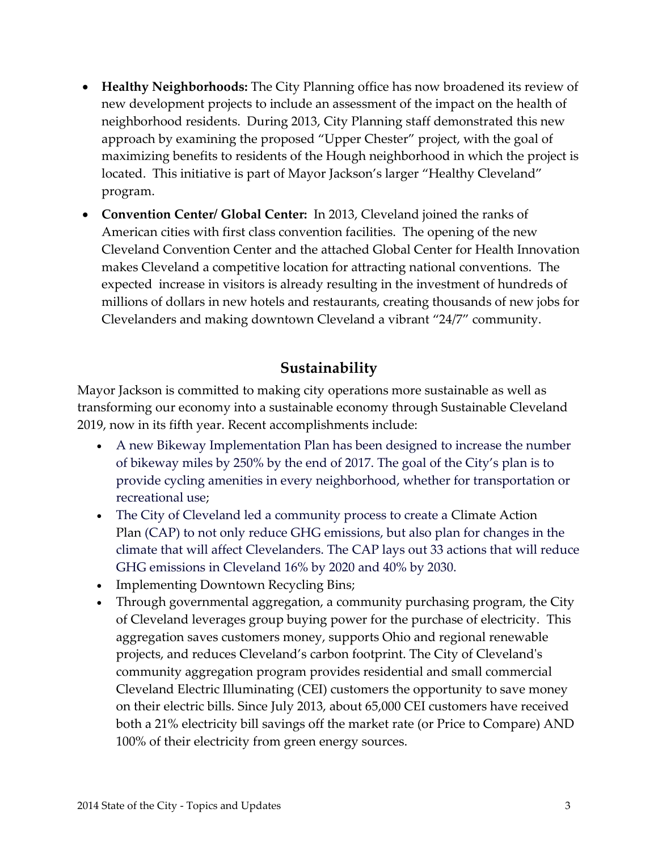- **Healthy Neighborhoods:** The City Planning office has now broadened its review of new development projects to include an assessment of the impact on the health of neighborhood residents. During 2013, City Planning staff demonstrated this new approach by examining the proposed "Upper Chester" project, with the goal of maximizing benefits to residents of the Hough neighborhood in which the project is located. This initiative is part of Mayor Jackson's larger "Healthy Cleveland" program.
- **Convention Center/ Global Center:** In 2013, Cleveland joined the ranks of American cities with first class convention facilities. The opening of the new Cleveland Convention Center and the attached Global Center for Health Innovation makes Cleveland a competitive location for attracting national conventions. The expected increase in visitors is already resulting in the investment of hundreds of millions of dollars in new hotels and restaurants, creating thousands of new jobs for Clevelanders and making downtown Cleveland a vibrant "24/7" community.

#### **Sustainability**

Mayor Jackson is committed to making city operations more sustainable as well as transforming our economy into a sustainable economy through Sustainable Cleveland 2019, now in its fifth year. Recent accomplishments include:

- A new Bikeway Implementation Plan has been designed to increase the number of bikeway miles by 250% by the end of 2017. The goal of the City's plan is to provide cycling amenities in every neighborhood, whether for transportation or recreational use;
- The City of Cleveland led a community process to create a Climate Action Plan (CAP) to not only reduce GHG emissions, but also plan for changes in the climate that will affect Clevelanders. The CAP lays out 33 actions that will reduce GHG emissions in Cleveland 16% by 2020 and 40% by 2030.
- Implementing Downtown Recycling Bins;
- Through governmental aggregation, a community purchasing program, the City of Cleveland leverages group buying power for the purchase of electricity. This aggregation saves customers money, supports Ohio and regional renewable projects, and reduces Cleveland's carbon footprint. The City of Cleveland's community aggregation program provides residential and small commercial Cleveland Electric Illuminating (CEI) customers the opportunity to save money on their electric bills. Since July 2013, about 65,000 CEI customers have received both a 21% electricity bill savings off the market rate (or Price to Compare) AND 100% of their electricity from green energy sources.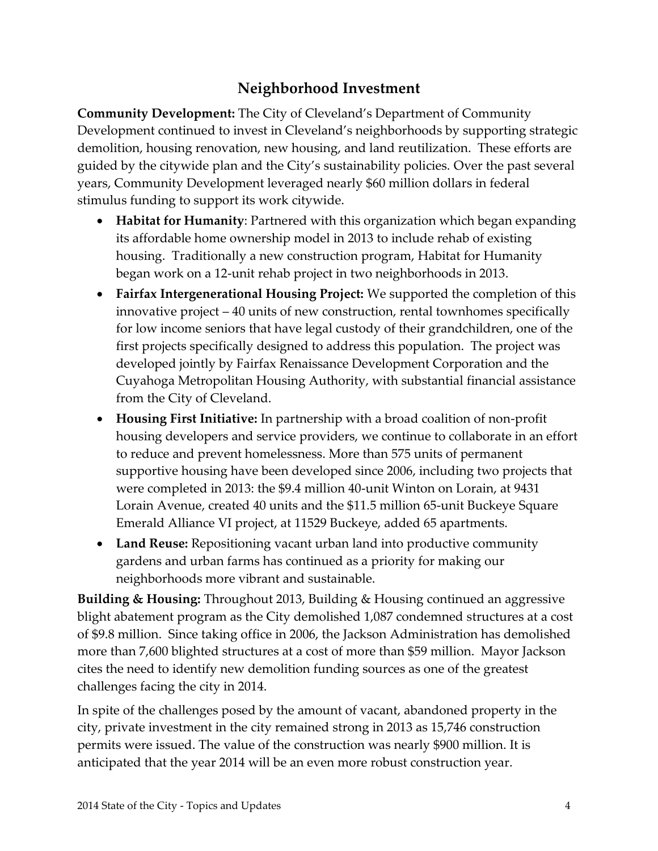## **Neighborhood Investment**

**Community Development:** The City of Cleveland's Department of Community Development continued to invest in Cleveland's neighborhoods by supporting strategic demolition, housing renovation, new housing, and land reutilization. These efforts are guided by the citywide plan and the City's sustainability policies. Over the past several years, Community Development leveraged nearly \$60 million dollars in federal stimulus funding to support its work citywide.

- **Habitat for Humanity**: Partnered with this organization which began expanding its affordable home ownership model in 2013 to include rehab of existing housing. Traditionally a new construction program, Habitat for Humanity began work on a 12-unit rehab project in two neighborhoods in 2013.
- **Fairfax Intergenerational Housing Project:** We supported the completion of this innovative project – 40 units of new construction, rental townhomes specifically for low income seniors that have legal custody of their grandchildren, one of the first projects specifically designed to address this population. The project was developed jointly by Fairfax Renaissance Development Corporation and the Cuyahoga Metropolitan Housing Authority, with substantial financial assistance from the City of Cleveland.
- **Housing First Initiative:** In partnership with a broad coalition of non-profit housing developers and service providers, we continue to collaborate in an effort to reduce and prevent homelessness. More than 575 units of permanent supportive housing have been developed since 2006, including two projects that were completed in 2013: the \$9.4 million 40-unit Winton on Lorain, at 9431 Lorain Avenue, created 40 units and the \$11.5 million 65-unit Buckeye Square Emerald Alliance VI project, at 11529 Buckeye, added 65 apartments.
- **Land Reuse:** Repositioning vacant urban land into productive community gardens and urban farms has continued as a priority for making our neighborhoods more vibrant and sustainable.

**Building & Housing:** Throughout 2013, Building & Housing continued an aggressive blight abatement program as the City demolished 1,087 condemned structures at a cost of \$9.8 million. Since taking office in 2006, the Jackson Administration has demolished more than 7,600 blighted structures at a cost of more than \$59 million. Mayor Jackson cites the need to identify new demolition funding sources as one of the greatest challenges facing the city in 2014.

In spite of the challenges posed by the amount of vacant, abandoned property in the city, private investment in the city remained strong in 2013 as 15,746 construction permits were issued. The value of the construction was nearly \$900 million. It is anticipated that the year 2014 will be an even more robust construction year.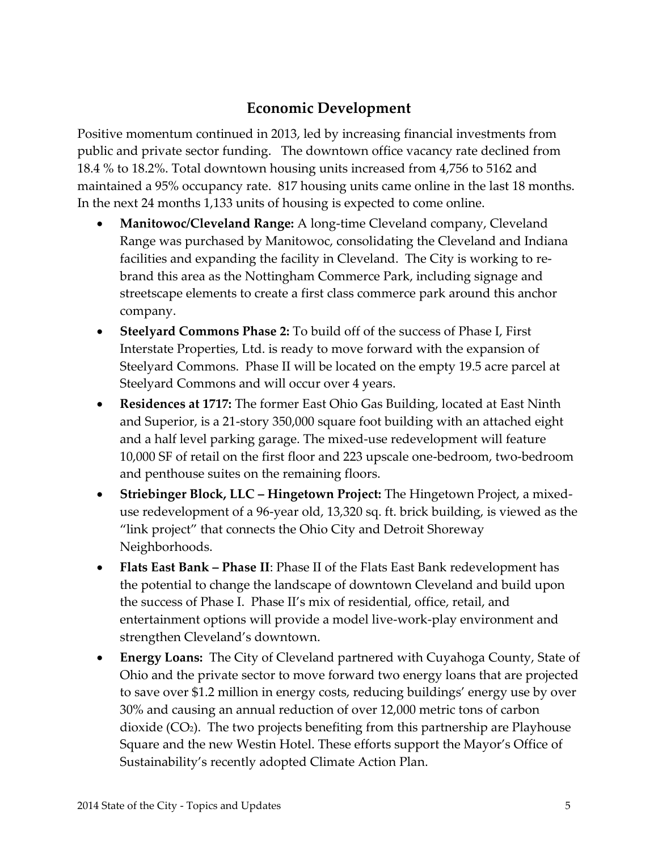## **Economic Development**

Positive momentum continued in 2013, led by increasing financial investments from public and private sector funding. The downtown office vacancy rate declined from 18.4 % to 18.2%. Total downtown housing units increased from 4,756 to 5162 and maintained a 95% occupancy rate. 817 housing units came online in the last 18 months. In the next 24 months 1,133 units of housing is expected to come online.

- **Manitowoc/Cleveland Range:** A long-time Cleveland company, Cleveland Range was purchased by Manitowoc, consolidating the Cleveland and Indiana facilities and expanding the facility in Cleveland. The City is working to rebrand this area as the Nottingham Commerce Park, including signage and streetscape elements to create a first class commerce park around this anchor company.
- **Steelyard Commons Phase 2:** To build off of the success of Phase I, First Interstate Properties, Ltd. is ready to move forward with the expansion of Steelyard Commons. Phase II will be located on the empty 19.5 acre parcel at Steelyard Commons and will occur over 4 years.
- **Residences at 1717:** The former East Ohio Gas Building, located at East Ninth and Superior, is a 21-story 350,000 square foot building with an attached eight and a half level parking garage. The mixed-use redevelopment will feature 10,000 SF of retail on the first floor and 223 upscale one-bedroom, two-bedroom and penthouse suites on the remaining floors.
- **Striebinger Block, LLC – Hingetown Project:** The Hingetown Project, a mixeduse redevelopment of a 96-year old, 13,320 sq. ft. brick building, is viewed as the "link project" that connects the Ohio City and Detroit Shoreway Neighborhoods.
- **Flats East Bank – Phase II**: Phase II of the Flats East Bank redevelopment has the potential to change the landscape of downtown Cleveland and build upon the success of Phase I. Phase II's mix of residential, office, retail, and entertainment options will provide a model live-work-play environment and strengthen Cleveland's downtown.
- **Energy Loans:** The City of Cleveland partnered with Cuyahoga County, State of Ohio and the private sector to move forward two energy loans that are projected to save over \$1.2 million in energy costs, reducing buildings' energy use by over 30% and causing an annual reduction of over 12,000 metric tons of carbon dioxide  $(CO<sub>2</sub>)$ . The two projects benefiting from this partnership are Playhouse Square and the new Westin Hotel. These efforts support the Mayor's Office of Sustainability's recently adopted Climate Action Plan.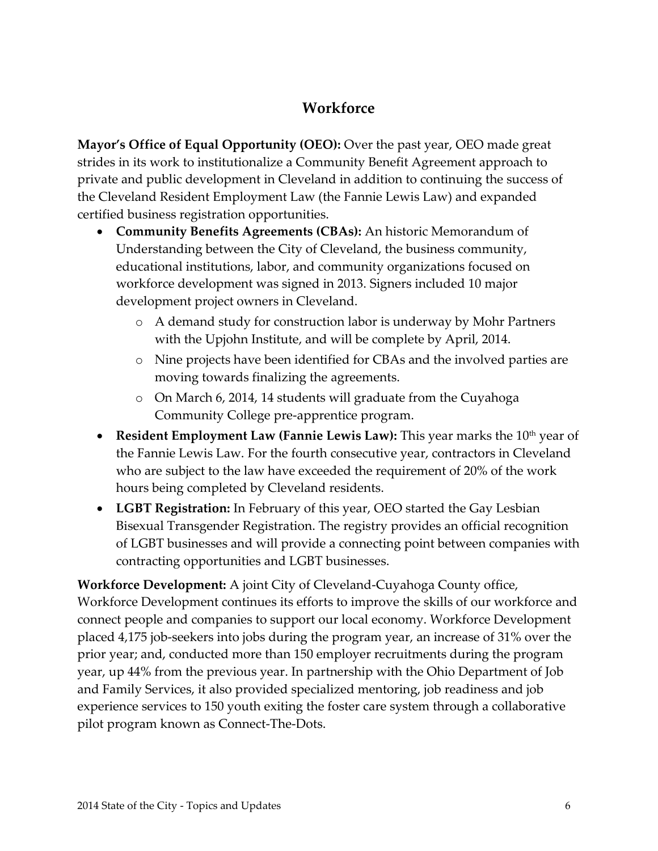#### **Workforce**

**Mayor's Office of Equal Opportunity (OEO):** Over the past year, OEO made great strides in its work to institutionalize a Community Benefit Agreement approach to private and public development in Cleveland in addition to continuing the success of the Cleveland Resident Employment Law (the Fannie Lewis Law) and expanded certified business registration opportunities.

- **Community Benefits Agreements (CBAs):** An historic Memorandum of Understanding between the City of Cleveland, the business community, educational institutions, labor, and community organizations focused on workforce development was signed in 2013. Signers included 10 major development project owners in Cleveland.
	- o A demand study for construction labor is underway by Mohr Partners with the Upjohn Institute, and will be complete by April, 2014.
	- o Nine projects have been identified for CBAs and the involved parties are moving towards finalizing the agreements.
	- o On March 6, 2014, 14 students will graduate from the Cuyahoga Community College pre-apprentice program.
- **Resident Employment Law (Fannie Lewis Law):** This year marks the 10<sup>th</sup> year of the Fannie Lewis Law. For the fourth consecutive year, contractors in Cleveland who are subject to the law have exceeded the requirement of 20% of the work hours being completed by Cleveland residents.
- **LGBT Registration:** In February of this year, OEO started the Gay Lesbian Bisexual Transgender Registration. The registry provides an official recognition of LGBT businesses and will provide a connecting point between companies with contracting opportunities and LGBT businesses.

**Workforce Development:** A joint City of Cleveland-Cuyahoga County office, Workforce Development continues its efforts to improve the skills of our workforce and connect people and companies to support our local economy. Workforce Development placed 4,175 job-seekers into jobs during the program year, an increase of 31% over the prior year; and, conducted more than 150 employer recruitments during the program year, up 44% from the previous year. In partnership with the Ohio Department of Job and Family Services, it also provided specialized mentoring, job readiness and job experience services to 150 youth exiting the foster care system through a collaborative pilot program known as Connect-The-Dots.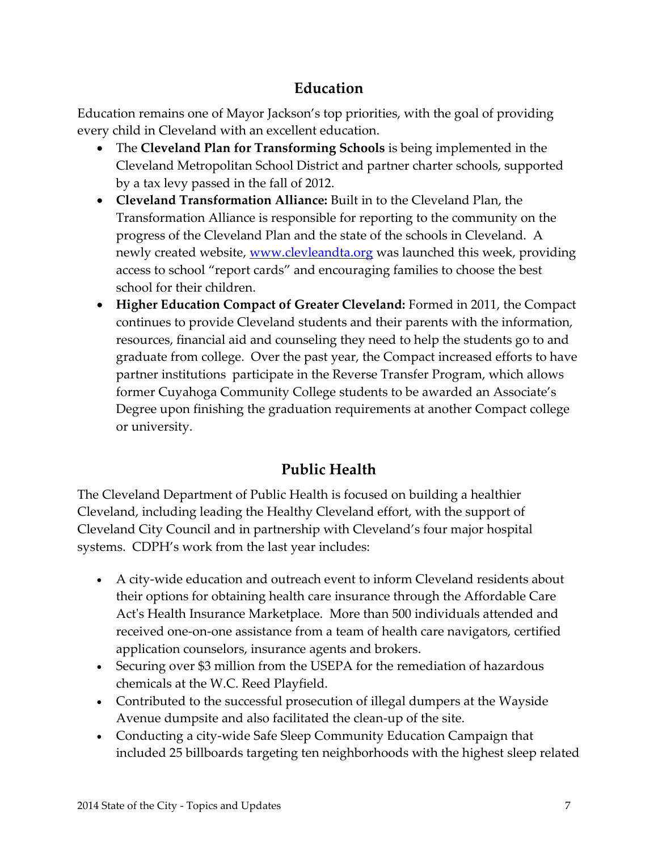## **Education**

Education remains one of Mayor Jackson's top priorities, with the goal of providing every child in Cleveland with an excellent education.

- The **Cleveland Plan for Transforming Schools** is being implemented in the Cleveland Metropolitan School District and partner charter schools, supported by a tax levy passed in the fall of 2012.
- **Cleveland Transformation Alliance:** Built in to the Cleveland Plan, the Transformation Alliance is responsible for reporting to the community on the progress of the Cleveland Plan and the state of the schools in Cleveland. A newly created website, [www.clevleandta.org](http://www.clevleandta.org/) was launched this week, providing access to school "report cards" and encouraging families to choose the best school for their children.
- **Higher Education Compact of Greater Cleveland:** Formed in 2011, the Compact continues to provide Cleveland students and their parents with the information, resources, financial aid and counseling they need to help the students go to and graduate from college. Over the past year, the Compact increased efforts to have partner institutions participate in the Reverse Transfer Program, which allows former Cuyahoga Community College students to be awarded an Associate's Degree upon finishing the graduation requirements at another Compact college or university.

# **Public Health**

The Cleveland Department of Public Health is focused on building a healthier Cleveland, including leading the Healthy Cleveland effort, with the support of Cleveland City Council and in partnership with Cleveland's four major hospital systems. CDPH's work from the last year includes:

- A city-wide education and outreach event to inform Cleveland residents about their options for obtaining health care insurance through the Affordable Care Act's Health Insurance Marketplace. More than 500 individuals attended and received one-on-one assistance from a team of health care navigators, certified application counselors, insurance agents and brokers.
- Securing over \$3 million from the USEPA for the remediation of hazardous chemicals at the W.C. Reed Playfield.
- Contributed to the successful prosecution of illegal dumpers at the Wayside Avenue dumpsite and also facilitated the clean-up of the site.
- Conducting a city-wide Safe Sleep Community Education Campaign that included 25 billboards targeting ten neighborhoods with the highest sleep related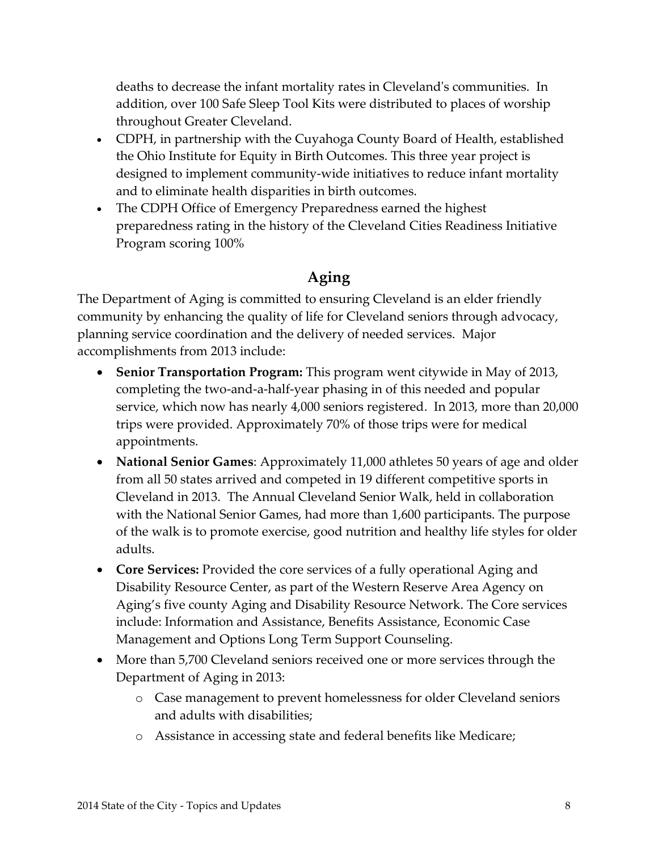deaths to decrease the infant mortality rates in Cleveland's communities. In addition, over 100 Safe Sleep Tool Kits were distributed to places of worship throughout Greater Cleveland.

- CDPH, in partnership with the Cuyahoga County Board of Health, established the Ohio Institute for Equity in Birth Outcomes. This three year project is designed to implement community-wide initiatives to reduce infant mortality and to eliminate health disparities in birth outcomes.
- The CDPH Office of Emergency Preparedness earned the highest preparedness rating in the history of the Cleveland Cities Readiness Initiative Program scoring 100%

#### **Aging**

The Department of Aging is committed to ensuring Cleveland is an elder friendly community by enhancing the quality of life for Cleveland seniors through advocacy, planning service coordination and the delivery of needed services. Major accomplishments from 2013 include:

- **Senior Transportation Program:** This program went citywide in May of 2013, completing the two-and-a-half-year phasing in of this needed and popular service, which now has nearly 4,000 seniors registered. In 2013, more than 20,000 trips were provided. Approximately 70% of those trips were for medical appointments.
- **National Senior Games**: Approximately 11,000 athletes 50 years of age and older from all 50 states arrived and competed in 19 different competitive sports in Cleveland in 2013. The Annual Cleveland Senior Walk, held in collaboration with the National Senior Games, had more than 1,600 participants. The purpose of the walk is to promote exercise, good nutrition and healthy life styles for older adults.
- **Core Services:** Provided the core services of a fully operational Aging and Disability Resource Center, as part of the Western Reserve Area Agency on Aging's five county Aging and Disability Resource Network. The Core services include: Information and Assistance, Benefits Assistance, Economic Case Management and Options Long Term Support Counseling.
- More than 5,700 Cleveland seniors received one or more services through the Department of Aging in 2013:
	- o Case management to prevent homelessness for older Cleveland seniors and adults with disabilities;
	- o Assistance in accessing state and federal benefits like Medicare;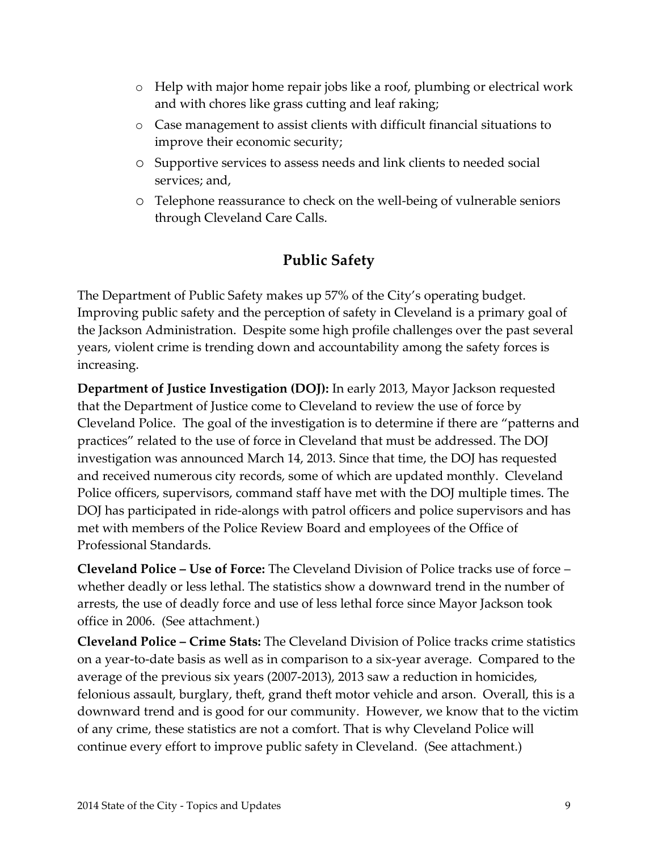- o Help with major home repair jobs like a roof, plumbing or electrical work and with chores like grass cutting and leaf raking;
- o Case management to assist clients with difficult financial situations to improve their economic security;
- o Supportive services to assess needs and link clients to needed social services; and,
- o Telephone reassurance to check on the well-being of vulnerable seniors through Cleveland Care Calls.

## **Public Safety**

The Department of Public Safety makes up 57% of the City's operating budget. Improving public safety and the perception of safety in Cleveland is a primary goal of the Jackson Administration. Despite some high profile challenges over the past several years, violent crime is trending down and accountability among the safety forces is increasing.

**Department of Justice Investigation (DOJ):** In early 2013, Mayor Jackson requested that the Department of Justice come to Cleveland to review the use of force by Cleveland Police. The goal of the investigation is to determine if there are "patterns and practices" related to the use of force in Cleveland that must be addressed. The DOJ investigation was announced March 14, 2013. Since that time, the DOJ has requested and received numerous city records, some of which are updated monthly. Cleveland Police officers, supervisors, command staff have met with the DOJ multiple times. The DOJ has participated in ride-alongs with patrol officers and police supervisors and has met with members of the Police Review Board and employees of the Office of Professional Standards.

**Cleveland Police – Use of Force:** The Cleveland Division of Police tracks use of force – whether deadly or less lethal. The statistics show a downward trend in the number of arrests, the use of deadly force and use of less lethal force since Mayor Jackson took office in 2006. (See attachment.)

**Cleveland Police – Crime Stats:** The Cleveland Division of Police tracks crime statistics on a year-to-date basis as well as in comparison to a six-year average. Compared to the average of the previous six years (2007-2013), 2013 saw a reduction in homicides, felonious assault, burglary, theft, grand theft motor vehicle and arson. Overall, this is a downward trend and is good for our community. However, we know that to the victim of any crime, these statistics are not a comfort. That is why Cleveland Police will continue every effort to improve public safety in Cleveland. (See attachment.)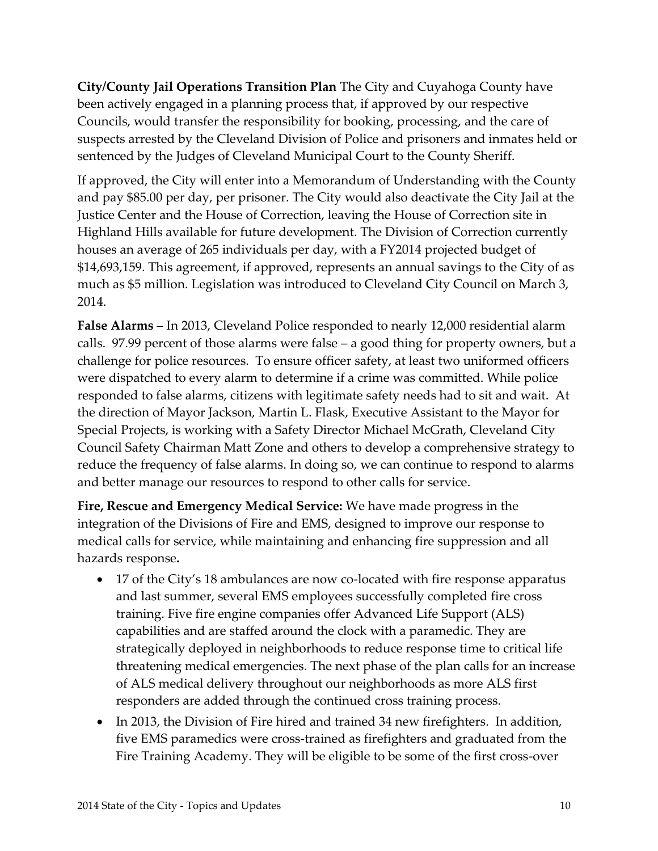**City/County Jail Operations Transition Plan** The City and Cuyahoga County have been actively engaged in a planning process that, if approved by our respective Councils, would transfer the responsibility for booking, processing, and the care of suspects arrested by the Cleveland Division of Police and prisoners and inmates held or sentenced by the Judges of Cleveland Municipal Court to the County Sheriff.

If approved, the City will enter into a Memorandum of Understanding with the County and pay \$85.00 per day, per prisoner. The City would also deactivate the City Jail at the Justice Center and the House of Correction, leaving the House of Correction site in Highland Hills available for future development. The Division of Correction currently houses an average of 265 individuals per day, with a FY2014 projected budget of \$14,693,159. This agreement, if approved, represents an annual savings to the City of as much as \$5 million. Legislation was introduced to Cleveland City Council on March 3, 2014.

**False Alarms** – In 2013, Cleveland Police responded to nearly 12,000 residential alarm calls. 97.99 percent of those alarms were false – a good thing for property owners, but a challenge for police resources. To ensure officer safety, at least two uniformed officers were dispatched to every alarm to determine if a crime was committed. While police responded to false alarms, citizens with legitimate safety needs had to sit and wait. At the direction of Mayor Jackson, Martin L. Flask, Executive Assistant to the Mayor for Special Projects, is working with a Safety Director Michael McGrath, Cleveland City Council Safety Chairman Matt Zone and others to develop a comprehensive strategy to reduce the frequency of false alarms. In doing so, we can continue to respond to alarms and better manage our resources to respond to other calls for service.

**Fire, Rescue and Emergency Medical Service:** We have made progress in the integration of the Divisions of Fire and EMS, designed to improve our response to medical calls for service, while maintaining and enhancing fire suppression and all hazards response**.**

- 17 of the City's 18 ambulances are now co-located with fire response apparatus and last summer, several EMS employees successfully completed fire cross training. Five fire engine companies offer Advanced Life Support (ALS) capabilities and are staffed around the clock with a paramedic. They are strategically deployed in neighborhoods to reduce response time to critical life threatening medical emergencies. The next phase of the plan calls for an increase of ALS medical delivery throughout our neighborhoods as more ALS first responders are added through the continued cross training process.
- In 2013, the Division of Fire hired and trained 34 new firefighters. In addition, five EMS paramedics were cross-trained as firefighters and graduated from the Fire Training Academy. They will be eligible to be some of the first cross-over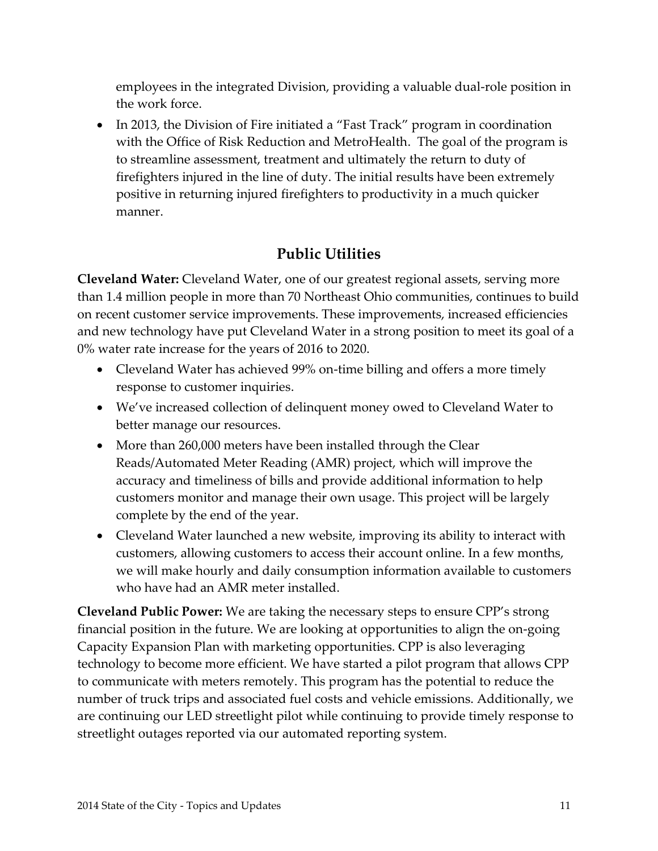employees in the integrated Division, providing a valuable dual-role position in the work force.

• In 2013, the Division of Fire initiated a "Fast Track" program in coordination with the Office of Risk Reduction and MetroHealth. The goal of the program is to streamline assessment, treatment and ultimately the return to duty of firefighters injured in the line of duty. The initial results have been extremely positive in returning injured firefighters to productivity in a much quicker manner.

# **Public Utilities**

**Cleveland Water:** Cleveland Water, one of our greatest regional assets, serving more than 1.4 million people in more than 70 Northeast Ohio communities, continues to build on recent customer service improvements. These improvements, increased efficiencies and new technology have put Cleveland Water in a strong position to meet its goal of a 0% water rate increase for the years of 2016 to 2020.

- Cleveland Water has achieved 99% on-time billing and offers a more timely response to customer inquiries.
- We've increased collection of delinquent money owed to Cleveland Water to better manage our resources.
- More than 260,000 meters have been installed through the Clear Reads/Automated Meter Reading (AMR) project, which will improve the accuracy and timeliness of bills and provide additional information to help customers monitor and manage their own usage. This project will be largely complete by the end of the year.
- Cleveland Water launched a new website, improving its ability to interact with customers, allowing customers to access their account online. In a few months, we will make hourly and daily consumption information available to customers who have had an AMR meter installed.

**Cleveland Public Power:** We are taking the necessary steps to ensure CPP's strong financial position in the future. We are looking at opportunities to align the on-going Capacity Expansion Plan with marketing opportunities. CPP is also leveraging technology to become more efficient. We have started a pilot program that allows CPP to communicate with meters remotely. This program has the potential to reduce the number of truck trips and associated fuel costs and vehicle emissions. Additionally, we are continuing our LED streetlight pilot while continuing to provide timely response to streetlight outages reported via our automated reporting system.